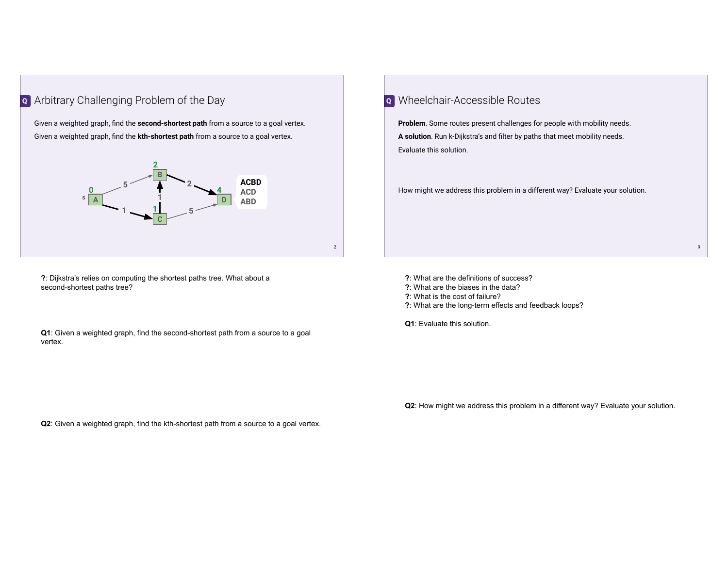

Given a weighted graph, find the **second-shortest path** from a source to a goal vertex. Given a weighted graph, find the **kth-shortest path** from a source to a goal vertex.



**?**: Dijkstra's relies on computing the shortest paths tree. What about a second-shortest paths tree?

**Q1**: Given a weighted graph, find the second-shortest path from a source to a goal vertex.

| o Wheelchair-Accessible Routes                                                 |  |
|--------------------------------------------------------------------------------|--|
| <b>Problem.</b> Some routes present challenges for people with mobility needs. |  |
| A solution. Run k-Dijkstra's and filter by paths that meet mobility needs.     |  |
| Evaluate this solution.                                                        |  |
|                                                                                |  |
| How might we address this problem in a different way? Evaluate your solution.  |  |
|                                                                                |  |
|                                                                                |  |
|                                                                                |  |
|                                                                                |  |

**?**: What are the definitions of success? **?**: What are the biases in the data?

- **?**: What is the cost of failure?
- **?**: What are the long-term effects and feedback loops?

**Q1**: Evaluate this solution.

**Q2**: How might we address this problem in a different way? Evaluate your solution.

**Q2**: Given a weighted graph, find the kth-shortest path from a source to a goal vertex.